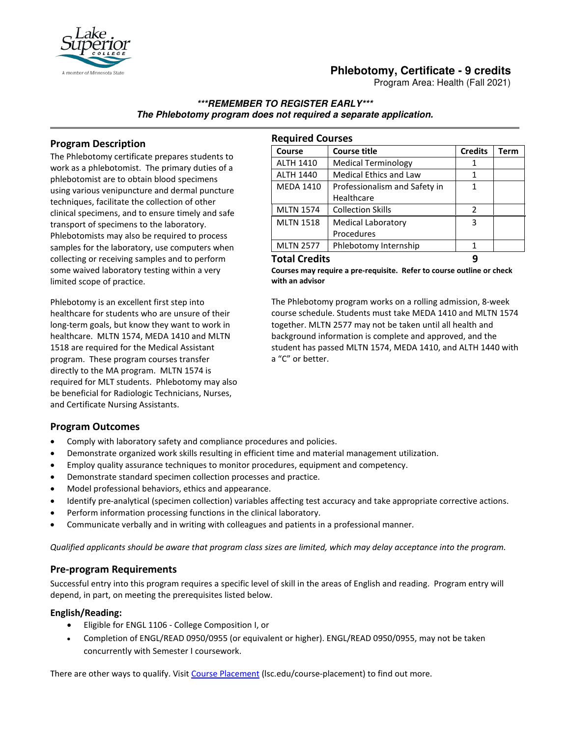

# **Phlebotomy, Certificate - 9 credits**

Program Area: Health (Fall 2021)

### **\*\*\*REMEMBER TO REGISTER EARLY\*\*\* The Phlebotomy program does not required a separate application.**

# **Program Description**

The Phlebotomy certificate prepares students to work as a phlebotomist. The primary duties of a phlebotomist are to obtain blood specimens using various venipuncture and dermal puncture techniques, facilitate the collection of other clinical specimens, and to ensure timely and safe transport of specimens to the laboratory. Phlebotomists may also be required to process samples for the laboratory, use computers when collecting or receiving samples and to perform some waived laboratory testing within a very limited scope of practice.

Phlebotomy is an excellent first step into healthcare for students who are unsure of their long-term goals, but know they want to work in healthcare. MLTN 1574, MEDA 1410 and MLTN 1518 are required for the Medical Assistant program. These program courses transfer directly to the MA program. MLTN 1574 is required for MLT students. Phlebotomy may also be beneficial for Radiologic Technicians, Nurses, and Certificate Nursing Assistants.

| <b>Required Courses</b> |                               |                |             |
|-------------------------|-------------------------------|----------------|-------------|
| Course                  | <b>Course title</b>           | <b>Credits</b> | <b>Term</b> |
| <b>ALTH 1410</b>        | <b>Medical Terminology</b>    | 1              |             |
| <b>ALTH 1440</b>        | <b>Medical Ethics and Law</b> | 1              |             |
| <b>MEDA 1410</b>        | Professionalism and Safety in | 1              |             |
|                         | Healthcare                    |                |             |
| <b>MLTN 1574</b>        | <b>Collection Skills</b>      | 2              |             |
| <b>MLTN 1518</b>        | <b>Medical Laboratory</b>     | 3              |             |
|                         | Procedures                    |                |             |
| <b>MLTN 2577</b>        | Phlebotomy Internship         | 1              |             |
| <b>Total Credits</b>    |                               |                |             |

**Courses may require a pre-requisite. Refer to course outline or check with an advisor** 

The Phlebotomy program works on a rolling admission, 8-week course schedule. Students must take MEDA 1410 and MLTN 1574 together. MLTN 2577 may not be taken until all health and background information is complete and approved, and the student has passed MLTN 1574, MEDA 1410, and ALTH 1440 with a "C" or better.

## **Program Outcomes**

- Comply with laboratory safety and compliance procedures and policies.
- Demonstrate organized work skills resulting in efficient time and material management utilization.
- Employ quality assurance techniques to monitor procedures, equipment and competency.
- Demonstrate standard specimen collection processes and practice.
- Model professional behaviors, ethics and appearance.
- Identify pre-analytical (specimen collection) variables affecting test accuracy and take appropriate corrective actions.
- Perform information processing functions in the clinical laboratory.
- Communicate verbally and in writing with colleagues and patients in a professional manner.

*Qualified applicants should be aware that program class sizes are limited, which may delay acceptance into the program.*

#### **Pre-program Requirements**

Successful entry into this program requires a specific level of skill in the areas of English and reading. Program entry will depend, in part, on meeting the prerequisites listed below.

#### **English/Reading:**

- Eligible for ENGL 1106 College Composition I, or
- Completion of ENGL/READ 0950/0955 (or equivalent or higher). ENGL/READ 0950/0955, may not be taken concurrently with Semester I coursework.

There are other ways to qualify. Visi[t Course Placement](https://www.lsc.edu/course-placement) (lsc.edu/course-placement) to find out more.